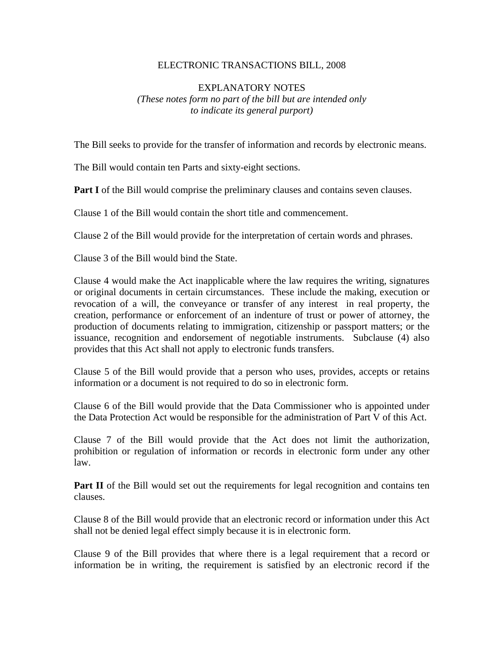### ELECTRONIC TRANSACTIONS BILL, 2008

## EXPLANATORY NOTES *(These notes form no part of the bill but are intended only to indicate its general purport)*

The Bill seeks to provide for the transfer of information and records by electronic means.

The Bill would contain ten Parts and sixty-eight sections.

**Part I** of the Bill would comprise the preliminary clauses and contains seven clauses.

Clause 1 of the Bill would contain the short title and commencement.

Clause 2 of the Bill would provide for the interpretation of certain words and phrases.

Clause 3 of the Bill would bind the State.

Clause 4 would make the Act inapplicable where the law requires the writing, signatures or original documents in certain circumstances. These include the making, execution or revocation of a will, the conveyance or transfer of any interest in real property, the creation, performance or enforcement of an indenture of trust or power of attorney, the production of documents relating to immigration, citizenship or passport matters; or the issuance, recognition and endorsement of negotiable instruments. Subclause (4) also provides that this Act shall not apply to electronic funds transfers.

Clause 5 of the Bill would provide that a person who uses, provides, accepts or retains information or a document is not required to do so in electronic form.

Clause 6 of the Bill would provide that the Data Commissioner who is appointed under the Data Protection Act would be responsible for the administration of Part V of this Act.

Clause 7 of the Bill would provide that the Act does not limit the authorization, prohibition or regulation of information or records in electronic form under any other law.

**Part II** of the Bill would set out the requirements for legal recognition and contains ten clauses.

Clause 8 of the Bill would provide that an electronic record or information under this Act shall not be denied legal effect simply because it is in electronic form.

Clause 9 of the Bill provides that where there is a legal requirement that a record or information be in writing, the requirement is satisfied by an electronic record if the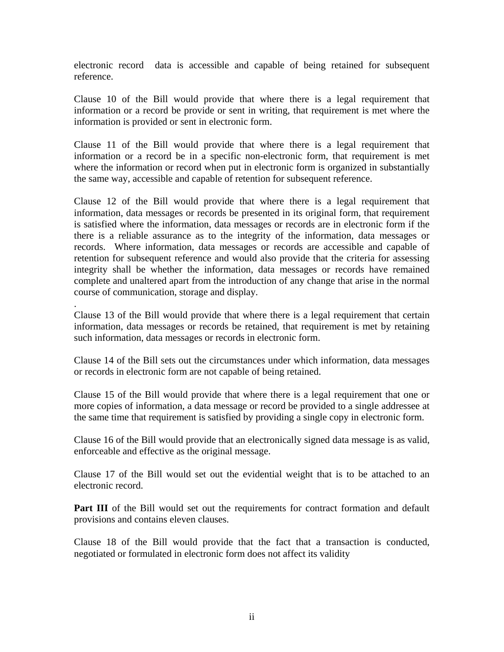electronic record data is accessible and capable of being retained for subsequent reference.

Clause 10 of the Bill would provide that where there is a legal requirement that information or a record be provide or sent in writing, that requirement is met where the information is provided or sent in electronic form.

Clause 11 of the Bill would provide that where there is a legal requirement that information or a record be in a specific non-electronic form, that requirement is met where the information or record when put in electronic form is organized in substantially the same way, accessible and capable of retention for subsequent reference.

Clause 12 of the Bill would provide that where there is a legal requirement that information, data messages or records be presented in its original form, that requirement is satisfied where the information, data messages or records are in electronic form if the there is a reliable assurance as to the integrity of the information, data messages or records. Where information, data messages or records are accessible and capable of retention for subsequent reference and would also provide that the criteria for assessing integrity shall be whether the information, data messages or records have remained complete and unaltered apart from the introduction of any change that arise in the normal course of communication, storage and display.

Clause 13 of the Bill would provide that where there is a legal requirement that certain information, data messages or records be retained, that requirement is met by retaining such information, data messages or records in electronic form.

.

Clause 14 of the Bill sets out the circumstances under which information, data messages or records in electronic form are not capable of being retained.

Clause 15 of the Bill would provide that where there is a legal requirement that one or more copies of information, a data message or record be provided to a single addressee at the same time that requirement is satisfied by providing a single copy in electronic form.

Clause 16 of the Bill would provide that an electronically signed data message is as valid, enforceable and effective as the original message.

Clause 17 of the Bill would set out the evidential weight that is to be attached to an electronic record.

**Part III** of the Bill would set out the requirements for contract formation and default provisions and contains eleven clauses.

Clause 18 of the Bill would provide that the fact that a transaction is conducted, negotiated or formulated in electronic form does not affect its validity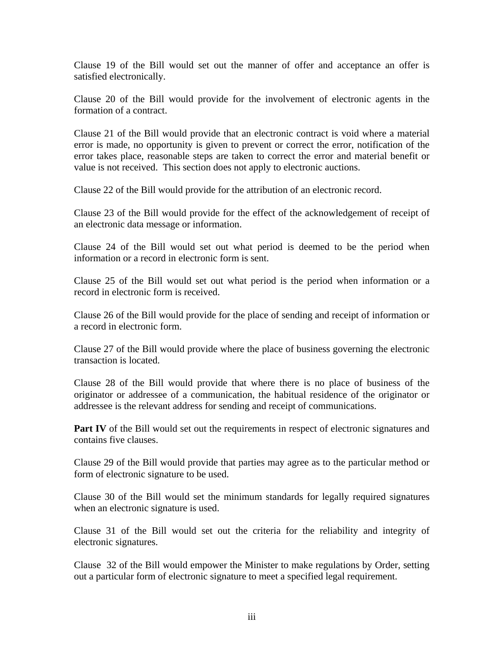Clause 19 of the Bill would set out the manner of offer and acceptance an offer is satisfied electronically.

Clause 20 of the Bill would provide for the involvement of electronic agents in the formation of a contract.

Clause 21 of the Bill would provide that an electronic contract is void where a material error is made, no opportunity is given to prevent or correct the error, notification of the error takes place, reasonable steps are taken to correct the error and material benefit or value is not received. This section does not apply to electronic auctions.

Clause 22 of the Bill would provide for the attribution of an electronic record.

Clause 23 of the Bill would provide for the effect of the acknowledgement of receipt of an electronic data message or information.

Clause 24 of the Bill would set out what period is deemed to be the period when information or a record in electronic form is sent.

Clause 25 of the Bill would set out what period is the period when information or a record in electronic form is received.

Clause 26 of the Bill would provide for the place of sending and receipt of information or a record in electronic form.

Clause 27 of the Bill would provide where the place of business governing the electronic transaction is located.

Clause 28 of the Bill would provide that where there is no place of business of the originator or addressee of a communication, the habitual residence of the originator or addressee is the relevant address for sending and receipt of communications.

**Part IV** of the Bill would set out the requirements in respect of electronic signatures and contains five clauses.

Clause 29 of the Bill would provide that parties may agree as to the particular method or form of electronic signature to be used.

Clause 30 of the Bill would set the minimum standards for legally required signatures when an electronic signature is used.

Clause 31 of the Bill would set out the criteria for the reliability and integrity of electronic signatures.

Clause 32 of the Bill would empower the Minister to make regulations by Order, setting out a particular form of electronic signature to meet a specified legal requirement.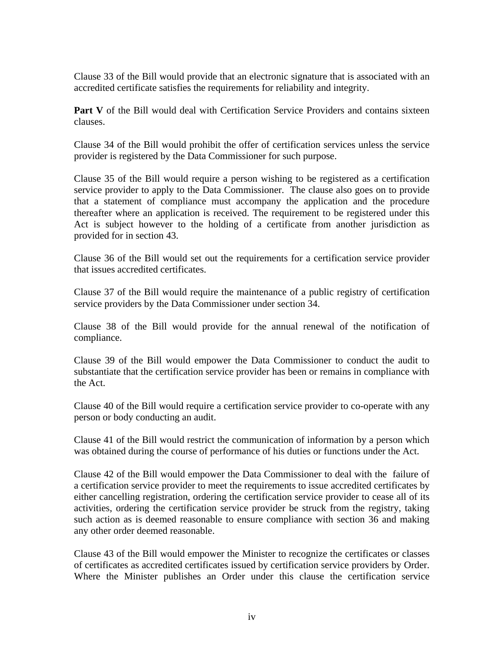Clause 33 of the Bill would provide that an electronic signature that is associated with an accredited certificate satisfies the requirements for reliability and integrity.

**Part V** of the Bill would deal with Certification Service Providers and contains sixteen clauses.

Clause 34 of the Bill would prohibit the offer of certification services unless the service provider is registered by the Data Commissioner for such purpose.

Clause 35 of the Bill would require a person wishing to be registered as a certification service provider to apply to the Data Commissioner. The clause also goes on to provide that a statement of compliance must accompany the application and the procedure thereafter where an application is received. The requirement to be registered under this Act is subject however to the holding of a certificate from another jurisdiction as provided for in section 43.

Clause 36 of the Bill would set out the requirements for a certification service provider that issues accredited certificates.

Clause 37 of the Bill would require the maintenance of a public registry of certification service providers by the Data Commissioner under section 34.

Clause 38 of the Bill would provide for the annual renewal of the notification of compliance.

Clause 39 of the Bill would empower the Data Commissioner to conduct the audit to substantiate that the certification service provider has been or remains in compliance with the Act.

Clause 40 of the Bill would require a certification service provider to co-operate with any person or body conducting an audit.

Clause 41 of the Bill would restrict the communication of information by a person which was obtained during the course of performance of his duties or functions under the Act.

Clause 42 of the Bill would empower the Data Commissioner to deal with the failure of a certification service provider to meet the requirements to issue accredited certificates by either cancelling registration, ordering the certification service provider to cease all of its activities, ordering the certification service provider be struck from the registry, taking such action as is deemed reasonable to ensure compliance with section 36 and making any other order deemed reasonable.

Clause 43 of the Bill would empower the Minister to recognize the certificates or classes of certificates as accredited certificates issued by certification service providers by Order. Where the Minister publishes an Order under this clause the certification service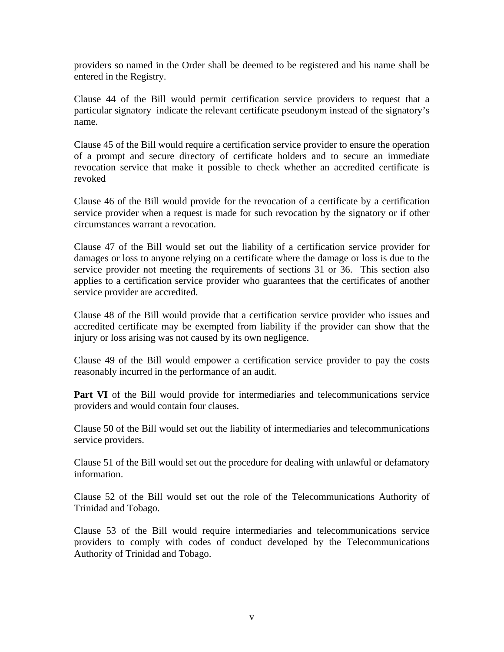providers so named in the Order shall be deemed to be registered and his name shall be entered in the Registry.

Clause 44 of the Bill would permit certification service providers to request that a particular signatory indicate the relevant certificate pseudonym instead of the signatory's name.

Clause 45 of the Bill would require a certification service provider to ensure the operation of a prompt and secure directory of certificate holders and to secure an immediate revocation service that make it possible to check whether an accredited certificate is revoked

Clause 46 of the Bill would provide for the revocation of a certificate by a certification service provider when a request is made for such revocation by the signatory or if other circumstances warrant a revocation.

Clause 47 of the Bill would set out the liability of a certification service provider for damages or loss to anyone relying on a certificate where the damage or loss is due to the service provider not meeting the requirements of sections 31 or 36. This section also applies to a certification service provider who guarantees that the certificates of another service provider are accredited.

Clause 48 of the Bill would provide that a certification service provider who issues and accredited certificate may be exempted from liability if the provider can show that the injury or loss arising was not caused by its own negligence.

Clause 49 of the Bill would empower a certification service provider to pay the costs reasonably incurred in the performance of an audit.

**Part VI** of the Bill would provide for intermediaries and telecommunications service providers and would contain four clauses.

Clause 50 of the Bill would set out the liability of intermediaries and telecommunications service providers.

Clause 51 of the Bill would set out the procedure for dealing with unlawful or defamatory information.

Clause 52 of the Bill would set out the role of the Telecommunications Authority of Trinidad and Tobago.

Clause 53 of the Bill would require intermediaries and telecommunications service providers to comply with codes of conduct developed by the Telecommunications Authority of Trinidad and Tobago.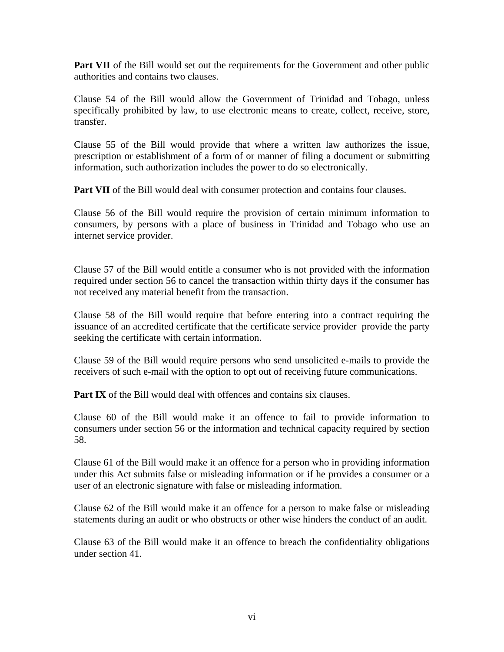**Part VII** of the Bill would set out the requirements for the Government and other public authorities and contains two clauses.

Clause 54 of the Bill would allow the Government of Trinidad and Tobago, unless specifically prohibited by law, to use electronic means to create, collect, receive, store, transfer.

Clause 55 of the Bill would provide that where a written law authorizes the issue, prescription or establishment of a form of or manner of filing a document or submitting information, such authorization includes the power to do so electronically.

Part VII of the Bill would deal with consumer protection and contains four clauses.

Clause 56 of the Bill would require the provision of certain minimum information to consumers, by persons with a place of business in Trinidad and Tobago who use an internet service provider.

Clause 57 of the Bill would entitle a consumer who is not provided with the information required under section 56 to cancel the transaction within thirty days if the consumer has not received any material benefit from the transaction.

Clause 58 of the Bill would require that before entering into a contract requiring the issuance of an accredited certificate that the certificate service provider provide the party seeking the certificate with certain information.

Clause 59 of the Bill would require persons who send unsolicited e-mails to provide the receivers of such e-mail with the option to opt out of receiving future communications.

**Part IX** of the Bill would deal with offences and contains six clauses.

Clause 60 of the Bill would make it an offence to fail to provide information to consumers under section 56 or the information and technical capacity required by section 58.

Clause 61 of the Bill would make it an offence for a person who in providing information under this Act submits false or misleading information or if he provides a consumer or a user of an electronic signature with false or misleading information.

Clause 62 of the Bill would make it an offence for a person to make false or misleading statements during an audit or who obstructs or other wise hinders the conduct of an audit.

Clause 63 of the Bill would make it an offence to breach the confidentiality obligations under section 41.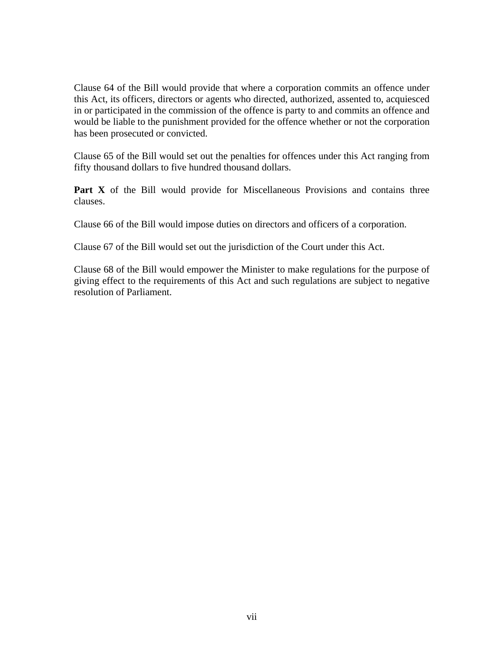Clause 64 of the Bill would provide that where a corporation commits an offence under this Act, its officers, directors or agents who directed, authorized, assented to, acquiesced in or participated in the commission of the offence is party to and commits an offence and would be liable to the punishment provided for the offence whether or not the corporation has been prosecuted or convicted.

Clause 65 of the Bill would set out the penalties for offences under this Act ranging from fifty thousand dollars to five hundred thousand dollars.

Part X of the Bill would provide for Miscellaneous Provisions and contains three clauses.

Clause 66 of the Bill would impose duties on directors and officers of a corporation.

Clause 67 of the Bill would set out the jurisdiction of the Court under this Act.

Clause 68 of the Bill would empower the Minister to make regulations for the purpose of giving effect to the requirements of this Act and such regulations are subject to negative resolution of Parliament.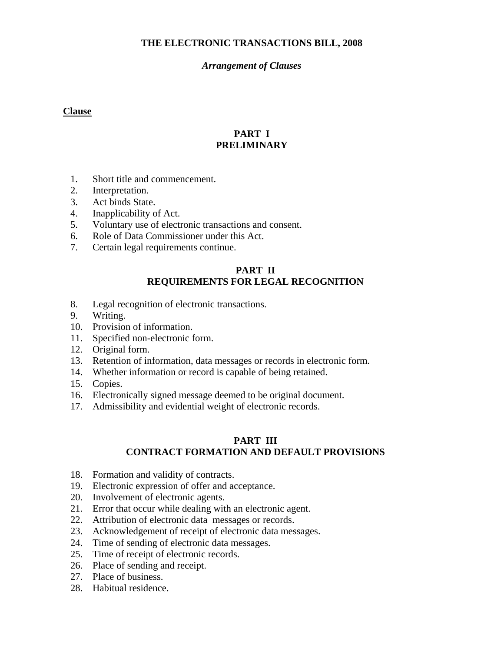## **THE ELECTRONIC TRANSACTIONS BILL, 2008**

## *Arrangement of Clauses*

## **Clause**

# **PART I PRELIMINARY**

- 1. Short title and commencement.
- 2. Interpretation.
- 3. Act binds State.
- 4. Inapplicability of Act.
- 5. Voluntary use of electronic transactions and consent.
- 6. Role of Data Commissioner under this Act.
- 7. Certain legal requirements continue.

### **PART II REQUIREMENTS FOR LEGAL RECOGNITION**

- 8. Legal recognition of electronic transactions.
- 9. Writing.
- 10. Provision of information.
- 11. Specified non-electronic form.
- 12. Original form.
- 13. Retention of information, data messages or records in electronic form.
- 14. Whether information or record is capable of being retained.
- 15. Copies.
- 16. Electronically signed message deemed to be original document.
- 17. Admissibility and evidential weight of electronic records.

## **PART III CONTRACT FORMATION AND DEFAULT PROVISIONS**

- 18. Formation and validity of contracts.
- 19. Electronic expression of offer and acceptance.
- 20. Involvement of electronic agents.
- 21. Error that occur while dealing with an electronic agent.
- 22. Attribution of electronic data messages or records.
- 23. Acknowledgement of receipt of electronic data messages.
- 24. Time of sending of electronic data messages.
- 25. Time of receipt of electronic records.
- 26. Place of sending and receipt.
- 27. Place of business.
- 28. Habitual residence.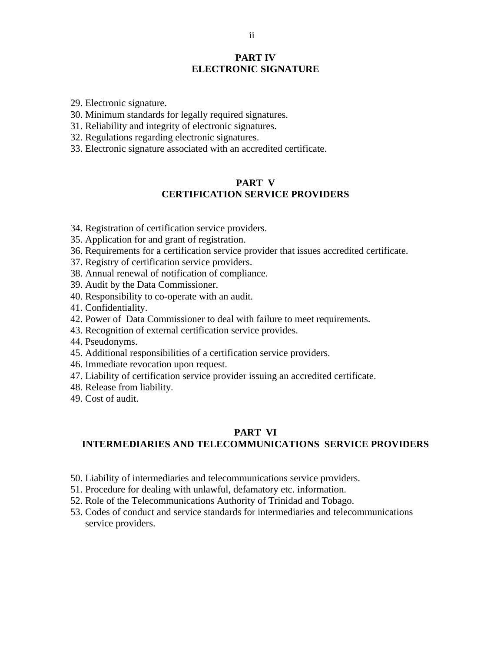## **PART IV ELECTRONIC SIGNATURE**

- 29. Electronic signature.
- 30. Minimum standards for legally required signatures.
- 31. Reliability and integrity of electronic signatures.
- 32. Regulations regarding electronic signatures.
- 33. Electronic signature associated with an accredited certificate.

## **PART V CERTIFICATION SERVICE PROVIDERS**

- 34. Registration of certification service providers.
- 35. Application for and grant of registration.
- 36. Requirements for a certification service provider that issues accredited certificate.
- 37. Registry of certification service providers.
- 38. Annual renewal of notification of compliance.
- 39. Audit by the Data Commissioner.
- 40. Responsibility to co-operate with an audit.
- 41. Confidentiality.
- 42. Power of Data Commissioner to deal with failure to meet requirements.
- 43. Recognition of external certification service provides.
- 44. Pseudonyms.
- 45. Additional responsibilities of a certification service providers.
- 46. Immediate revocation upon request.
- 47. Liability of certification service provider issuing an accredited certificate.
- 48. Release from liability.
- 49. Cost of audit.

### **PART VI INTERMEDIARIES AND TELECOMMUNICATIONS SERVICE PROVIDERS**

- 50. Liability of intermediaries and telecommunications service providers.
- 51. Procedure for dealing with unlawful, defamatory etc. information.
- 52. Role of the Telecommunications Authority of Trinidad and Tobago.
- 53. Codes of conduct and service standards for intermediaries and telecommunications service providers.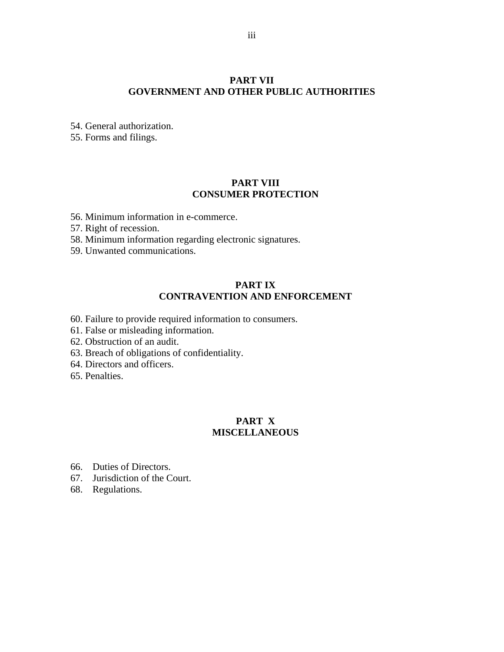### **PART VII GOVERNMENT AND OTHER PUBLIC AUTHORITIES**

54. General authorization.

55. Forms and filings.

## **PART VIII CONSUMER PROTECTION**

- 56. Minimum information in e-commerce.
- 57. Right of recession.
- 58. Minimum information regarding electronic signatures.
- 59. Unwanted communications.

## **PART IX CONTRAVENTION AND ENFORCEMENT**

- 60. Failure to provide required information to consumers.
- 61. False or misleading information.
- 62. Obstruction of an audit.
- 63. Breach of obligations of confidentiality.
- 64. Directors and officers.
- 65. Penalties.

# **PART X MISCELLANEOUS**

- 66. Duties of Directors.
- 67. Jurisdiction of the Court.
- 68. Regulations.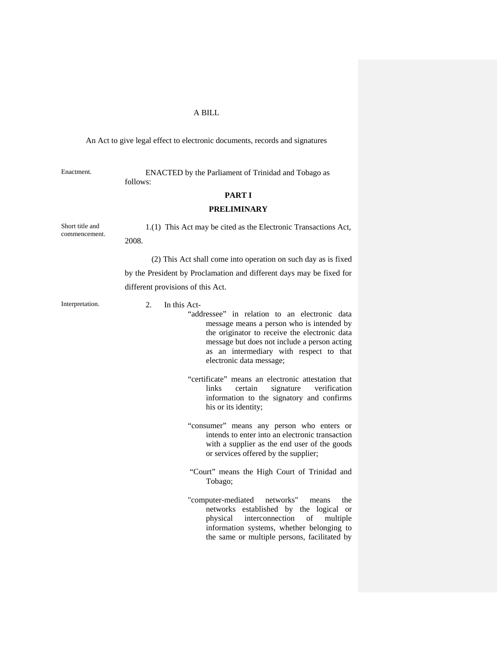#### A BILL

An Act to give legal effect to electronic documents, records and signatures

Enactment. ENACTED by the Parliament of Trinidad and Tobago as follows:

### **PART I**

#### **PRELIMINARY**

Short title and commencement. 1.(1) This Act may be cited as the Electronic Transactions Act, 2008.

> (2) This Act shall come into operation on such day as is fixed by the President by Proclamation and different days may be fixed for different provisions of this Act.

Interpretation. 2. In this Act-

- - "addressee" in relation to an electronic data message means a person who is intended by the originator to receive the electronic data message but does not include a person acting as an intermediary with respect to that electronic data message;
	- "certificate" means an electronic attestation that links certain signature verification information to the signatory and confirms his or its identity;
	- "consumer" means any person who enters or intends to enter into an electronic transaction with a supplier as the end user of the goods or services offered by the supplier;
	- "Court" means the High Court of Trinidad and Tobago;
	- "computer-mediated networks" means the networks established by the logical or physical interconnection of multiple information systems, whether belonging to the same or multiple persons, facilitated by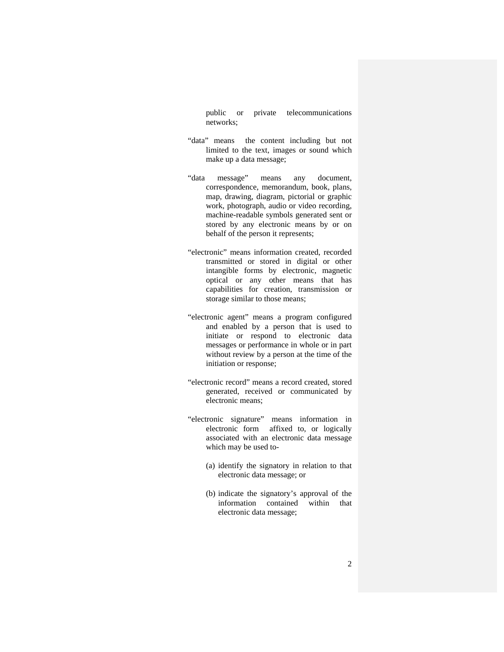public or private telecommunications networks;

- "data" means the content including but not limited to the text, images or sound which make up a data message;
- "data message" means any document, correspondence, memorandum, book, plans, map, drawing, diagram, pictorial or graphic work, photograph, audio or video recording, machine-readable symbols generated sent or stored by any electronic means by or on behalf of the person it represents;
- "electronic" means information created, recorded transmitted or stored in digital or other intangible forms by electronic, magnetic optical or any other means that has capabilities for creation, transmission or storage similar to those means;
- "electronic agent" means a program configured and enabled by a person that is used to initiate or respond to electronic data messages or performance in whole or in part without review by a person at the time of the initiation or response;
- "electronic record" means a record created, stored generated, received or communicated by electronic means;
- "electronic signature" means information in electronic form affixed to, or logically associated with an electronic data message which may be used to-
	- (a) identify the signatory in relation to that electronic data message; or
	- (b) indicate the signatory's approval of the information contained within that electronic data message;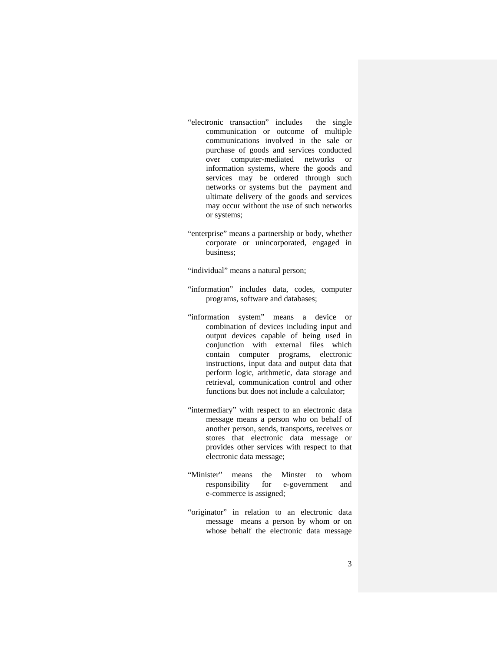- "electronic transaction" includes the single communication or outcome of multiple communications involved in the sale or purchase of goods and services conducted over computer-mediated networks or information systems, where the goods and services may be ordered through such networks or systems but the payment and ultimate delivery of the goods and services may occur without the use of such networks or systems;
- "enterprise" means a partnership or body, whether corporate or unincorporated, engaged in business;

"individual" means a natural person;

- "information" includes data, codes, computer programs, software and databases;
- "information system" means a device or combination of devices including input and output devices capable of being used in conjunction with external files which contain computer programs, electronic instructions, input data and output data that perform logic, arithmetic, data storage and retrieval, communication control and other functions but does not include a calculator;
- "intermediary" with respect to an electronic data message means a person who on behalf of another person, sends, transports, receives or stores that electronic data message or provides other services with respect to that electronic data message;
- "Minister" means the Minster to whom responsibility for e-government and e-commerce is assigned;
- "originator" in relation to an electronic data message means a person by whom or on whose behalf the electronic data message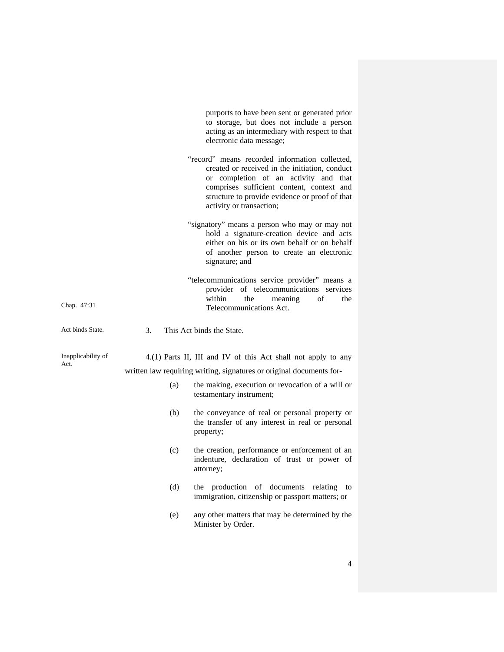|                    |                                                                                                                                                                                                           |     | purports to have been sent or generated prior<br>to storage, but does not include a person<br>acting as an intermediary with respect to that<br>electronic data message;                                                                                             |  |  |  |
|--------------------|-----------------------------------------------------------------------------------------------------------------------------------------------------------------------------------------------------------|-----|----------------------------------------------------------------------------------------------------------------------------------------------------------------------------------------------------------------------------------------------------------------------|--|--|--|
|                    |                                                                                                                                                                                                           |     | "record" means recorded information collected,<br>created or received in the initiation, conduct<br>or completion of an activity and that<br>comprises sufficient content, context and<br>structure to provide evidence or proof of that<br>activity or transaction; |  |  |  |
|                    | "signatory" means a person who may or may not<br>hold a signature-creation device and acts<br>either on his or its own behalf or on behalf<br>of another person to create an electronic<br>signature; and |     |                                                                                                                                                                                                                                                                      |  |  |  |
| Chap. 47:31        |                                                                                                                                                                                                           |     | "telecommunications service provider" means a<br>provider of telecommunications services<br>within<br>the<br>of<br>meaning<br>the<br>Telecommunications Act.                                                                                                         |  |  |  |
| Act binds State.   | 3.                                                                                                                                                                                                        |     | This Act binds the State.                                                                                                                                                                                                                                            |  |  |  |
| Inapplicability of | 4.(1) Parts II, III and IV of this Act shall not apply to any                                                                                                                                             |     |                                                                                                                                                                                                                                                                      |  |  |  |
| Act.               | written law requiring writing, signatures or original documents for-                                                                                                                                      |     |                                                                                                                                                                                                                                                                      |  |  |  |
|                    |                                                                                                                                                                                                           |     |                                                                                                                                                                                                                                                                      |  |  |  |
|                    |                                                                                                                                                                                                           | (a) | the making, execution or revocation of a will or<br>testamentary instrument;                                                                                                                                                                                         |  |  |  |
|                    |                                                                                                                                                                                                           | (b) | the conveyance of real or personal property or<br>the transfer of any interest in real or personal<br>property;                                                                                                                                                      |  |  |  |
|                    |                                                                                                                                                                                                           | (c) | the creation, performance or enforcement of an<br>indenture, declaration of trust or power of<br>attorney;                                                                                                                                                           |  |  |  |
|                    |                                                                                                                                                                                                           | (d) | the production of documents relating to<br>immigration, citizenship or passport matters; or                                                                                                                                                                          |  |  |  |
|                    |                                                                                                                                                                                                           | (e) | any other matters that may be determined by the<br>Minister by Order.                                                                                                                                                                                                |  |  |  |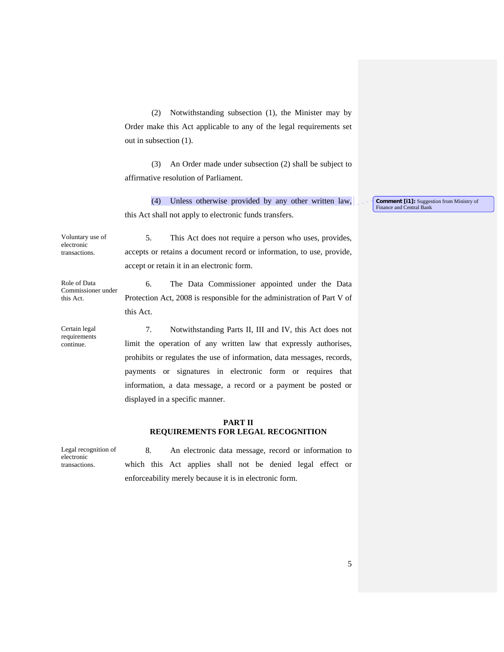(2) Notwithstanding subsection (1), the Minister may by Order make this Act applicable to any of the legal requirements set out in subsection (1).

(3) An Order made under subsection (2) shall be subject to affirmative resolution of Parliament.

(4) Unless otherwise provided by any other written law, this Act shall not apply to electronic funds transfers.

Voluntary use of electronic transactions.

5. This Act does not require a person who uses, provides, accepts or retains a document record or information, to use, provide, accept or retain it in an electronic form.

Role of Data Commissioner under this Act.

Certain legal requirements continue.

6. The Data Commissioner appointed under the Data Protection Act, 2008 is responsible for the administration of Part V of this Act.

7. Notwithstanding Parts II, III and IV, this Act does not limit the operation of any written law that expressly authorises, prohibits or regulates the use of information, data messages, records, payments or signatures in electronic form or requires that information, a data message, a record or a payment be posted or displayed in a specific manner.

### **PART II REQUIREMENTS FOR LEGAL RECOGNITION**

Legal recognition of electronic transactions.

8. An electronic data message, record or information to which this Act applies shall not be denied legal effect or enforceability merely because it is in electronic form.

**Comment [i1]:** Suggestion from Ministry of Finance and Central Bank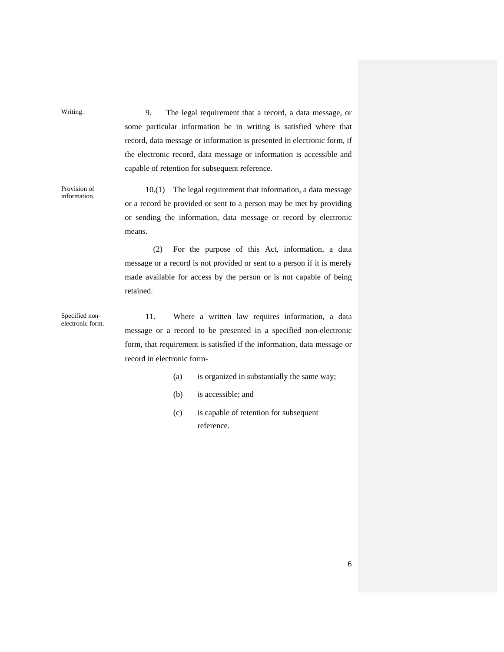Writing. 9. The legal requirement that a record, a data message, or some particular information be in writing is satisfied where that record, data message or information is presented in electronic form, if the electronic record, data message or information is accessible and capable of retention for subsequent reference.

Provision of information.

10.(1) The legal requirement that information, a data message or a record be provided or sent to a person may be met by providing or sending the information, data message or record by electronic means.

 (2) For the purpose of this Act, information, a data message or a record is not provided or sent to a person if it is merely made available for access by the person or is not capable of being retained.

Specified nonelectronic form.

11. Where a written law requires information, a data message or a record to be presented in a specified non-electronic form, that requirement is satisfied if the information, data message or record in electronic form-

- (a) is organized in substantially the same way;
- (b) is accessible; and
- (c) is capable of retention for subsequent reference.

6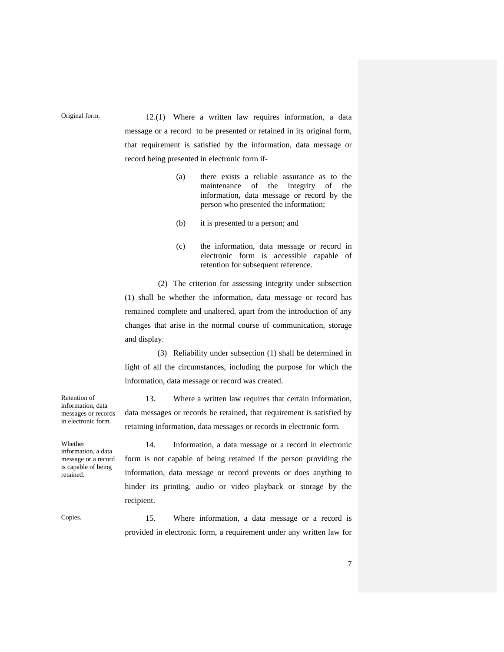Original form. 12.(1) Where a written law requires information, a data message or a record to be presented or retained in its original form, that requirement is satisfied by the information, data message or record being presented in electronic form if-

- (a) there exists a reliable assurance as to the maintenance of the integrity of the information, data message or record by the person who presented the information;
- (b) it is presented to a person; and
- (c) the information, data message or record in electronic form is accessible capable of retention for subsequent reference.

(2) The criterion for assessing integrity under subsection (1) shall be whether the information, data message or record has remained complete and unaltered, apart from the introduction of any changes that arise in the normal course of communication, storage and display.

(3) Reliability under subsection (1) shall be determined in light of all the circumstances, including the purpose for which the information, data message or record was created.

13. Where a written law requires that certain information, data messages or records be retained, that requirement is satisfied by retaining information, data messages or records in electronic form.

14. Information, a data message or a record in electronic form is not capable of being retained if the person providing the information, data message or record prevents or does anything to hinder its printing, audio or video playback or storage by the recipient.

Copies. 15. Where information, a data message or a record is provided in electronic form, a requirement under any written law for

Retention of information, data messages or records in electronic form.

Whether information, a data message or a record is capable of being retained.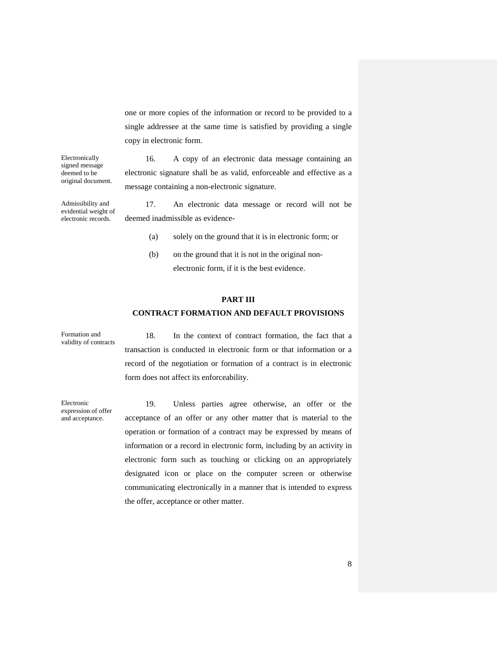one or more copies of the information or record to be provided to a single addressee at the same time is satisfied by providing a single copy in electronic form.

Electronically signed message deemed to be original document.

Admissibility and evidential weight of electronic records.

16. A copy of an electronic data message containing an electronic signature shall be as valid, enforceable and effective as a message containing a non-electronic signature.

17. An electronic data message or record will not be deemed inadmissible as evidence-

- (a) solely on the ground that it is in electronic form; or
- (b) on the ground that it is not in the original non electronic form, if it is the best evidence.

#### **PART III**

### **CONTRACT FORMATION AND DEFAULT PROVISIONS**

Formation and validity of contracts

18. In the context of contract formation, the fact that a transaction is conducted in electronic form or that information or a record of the negotiation or formation of a contract is in electronic form does not affect its enforceability.

Electronic expression of offer and acceptance.

19. Unless parties agree otherwise, an offer or the acceptance of an offer or any other matter that is material to the operation or formation of a contract may be expressed by means of information or a record in electronic form, including by an activity in electronic form such as touching or clicking on an appropriately designated icon or place on the computer screen or otherwise communicating electronically in a manner that is intended to express the offer, acceptance or other matter.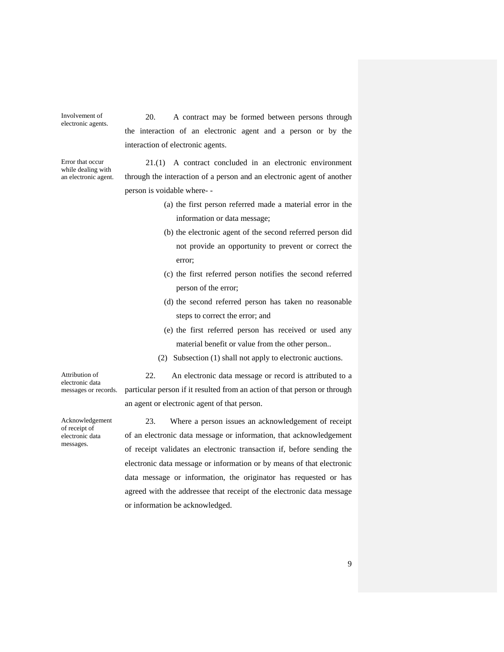Involvement of electronic agents.

20. A contract may be formed between persons through the interaction of an electronic agent and a person or by the interaction of electronic agents.

Error that occur while dealing with an electronic agent.

21.(1) A contract concluded in an electronic environment through the interaction of a person and an electronic agent of another person is voidable where- -

- (a) the first person referred made a material error in the information or data message;
- (b) the electronic agent of the second referred person did not provide an opportunity to prevent or correct the error;
- (c) the first referred person notifies the second referred person of the error;
- (d) the second referred person has taken no reasonable steps to correct the error; and
- (e) the first referred person has received or used any material benefit or value from the other person..
- (2) Subsection (1) shall not apply to electronic auctions.

Attribution of electronic data messages or records.

22. An electronic data message or record is attributed to a particular person if it resulted from an action of that person or through an agent or electronic agent of that person.

Acknowledgement of receipt of electronic data messages.

23. Where a person issues an acknowledgement of receipt of an electronic data message or information, that acknowledgement of receipt validates an electronic transaction if, before sending the electronic data message or information or by means of that electronic data message or information, the originator has requested or has agreed with the addressee that receipt of the electronic data message or information be acknowledged.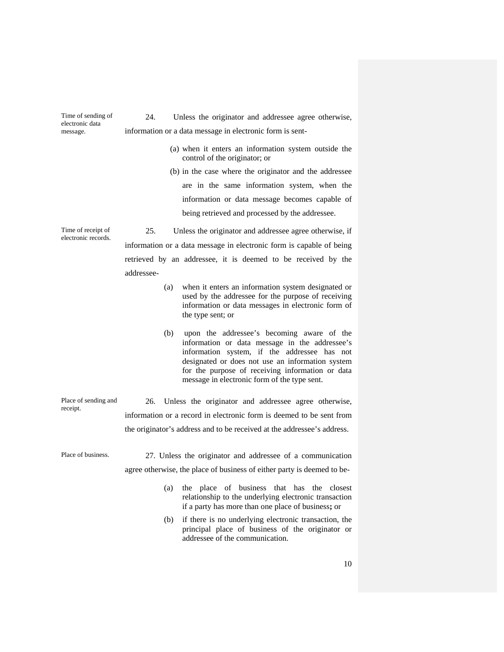electronic data message. information or a data message in electronic form is sent- (a) when it enters an information system outside the control of the originator; or (b) in the case where the originator and the addressee are in the same information system, when the information or data message becomes capable of being retrieved and processed by the addressee. Time of receipt of Time of receipt of 25. Unless the originator and addressee agree otherwise, if electronic records. information or a data message in electronic form is capable of being retrieved by an addressee, it is deemed to be received by the addressee- (a) when it enters an information system designated or used by the addressee for the purpose of receiving information or data messages in electronic form of the type sent; or (b) upon the addressee's becoming aware of the information or data message in the addressee's information system, if the addressee has not designated or does not use an information system for the purpose of receiving information or data message in electronic form of the type sent. Place of sending and receipt. 26. Unless the originator and addressee agree otherwise, information or a record in electronic form is deemed to be sent from the originator's address and to be received at the addressee's address.

24. Unless the originator and addressee agree otherwise,

Time of sending of

Place of business. 27. Unless the originator and addressee of a communication agree otherwise, the place of business of either party is deemed to be-

- (a) the place of business that has the closest relationship to the underlying electronic transaction if a party has more than one place of business**;** or
- (b) if there is no underlying electronic transaction, the principal place of business of the originator or addressee of the communication.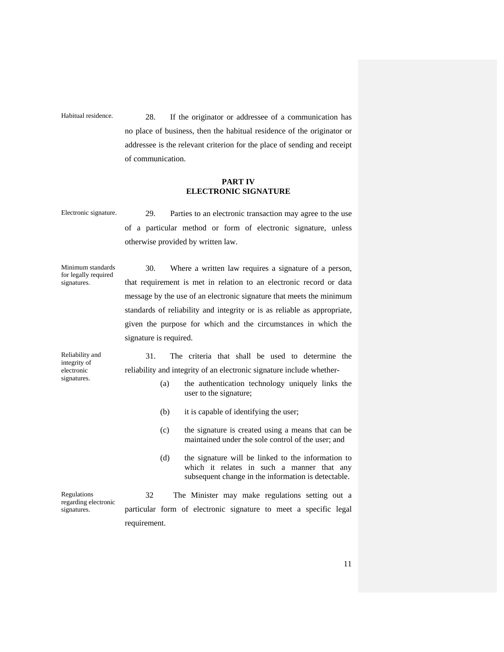Habitual residence. 28. If the originator or addressee of a communication has no place of business, then the habitual residence of the originator or addressee is the relevant criterion for the place of sending and receipt of communication.

### **PART IV ELECTRONIC SIGNATURE**

Electronic signature. 29. Parties to an electronic transaction may agree to the use of a particular method or form of electronic signature, unless otherwise provided by written law. Minimum standards for legally required signatures. 30. Where a written law requires a signature of a person, that requirement is met in relation to an electronic record or data message by the use of an electronic signature that meets the minimum standards of reliability and integrity or is as reliable as appropriate, given the purpose for which and the circumstances in which the

signature is required.

Reliability and integrity of electronic

signatures.

31. The criteria that shall be used to determine the reliability and integrity of an electronic signature include whether-

- (a) the authentication technology uniquely links the user to the signature;
- (b) it is capable of identifying the user;
- (c) the signature is created using a means that can be maintained under the sole control of the user; and
- (d) the signature will be linked to the information to which it relates in such a manner that any subsequent change in the information is detectable.

Regulations regarding electronic signatures. 32 The Minister may make regulations setting out a particular form of electronic signature to meet a specific legal requirement.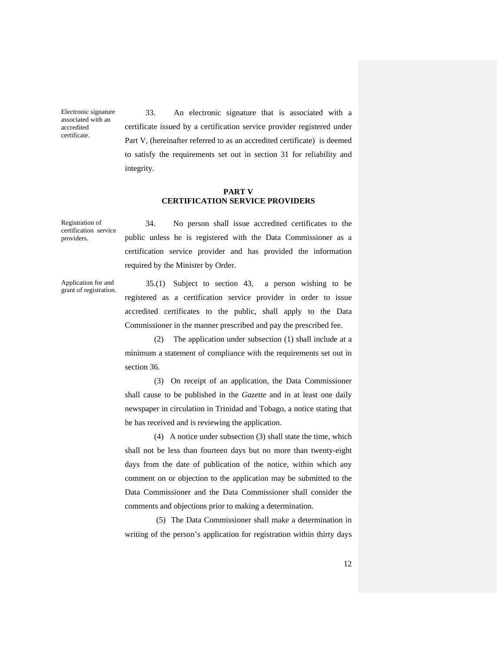Electronic signature associated with an accredited certificate.

33. An electronic signature that is associated with a certificate issued by a certification service provider registered under Part V, (hereinafter referred to as an accredited certificate) is deemed to satisfy the requirements set out in section 31 for reliability and integrity.

### **PART V CERTIFICATION SERVICE PROVIDERS**

Registration of certification service providers.

34. No person shall issue accredited certificates to the public unless he is registered with the Data Commissioner as a certification service provider and has provided the information required by the Minister by Order.

Application for and grant of registration.

35.(1) Subject to section 43, a person wishing to be registered as a certification service provider in order to issue accredited certificates to the public, shall apply to the Data Commissioner in the manner prescribed and pay the prescribed fee.

(2) The application under subsection (1) shall include at a minimum a statement of compliance with the requirements set out in section 36.

(3) On receipt of an application, the Data Commissioner shall cause to be published in the *Gazette* and in at least one daily newspaper in circulation in Trinidad and Tobago, a notice stating that he has received and is reviewing the application.

(4) A notice under subsection (3) shall state the time, which shall not be less than fourteen days but no more than twenty-eight days from the date of publication of the notice, within which any comment on or objection to the application may be submitted to the Data Commissioner and the Data Commissioner shall consider the comments and objections prior to making a determination.

 (5) The Data Commissioner shall make a determination in writing of the person's application for registration within thirty days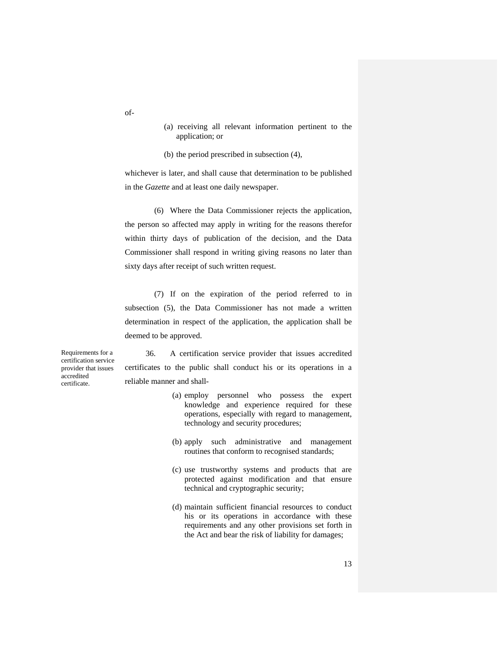- (a) receiving all relevant information pertinent to the application; or
- (b) the period prescribed in subsection (4),

whichever is later, and shall cause that determination to be published in the *Gazette* and at least one daily newspaper.

(6) Where the Data Commissioner rejects the application, the person so affected may apply in writing for the reasons therefor within thirty days of publication of the decision, and the Data Commissioner shall respond in writing giving reasons no later than sixty days after receipt of such written request.

(7) If on the expiration of the period referred to in subsection (5), the Data Commissioner has not made a written determination in respect of the application, the application shall be deemed to be approved.

Requirements for a certification service provider that issues accredited certificate.

36. A certification service provider that issues accredited certificates to the public shall conduct his or its operations in a reliable manner and shall-

- (a) employ personnel who possess the expert knowledge and experience required for these operations, especially with regard to management, technology and security procedures;
- (b) apply such administrative and management routines that conform to recognised standards;
- (c) use trustworthy systems and products that are protected against modification and that ensure technical and cryptographic security;
- (d) maintain sufficient financial resources to conduct his or its operations in accordance with these requirements and any other provisions set forth in the Act and bear the risk of liability for damages;

of-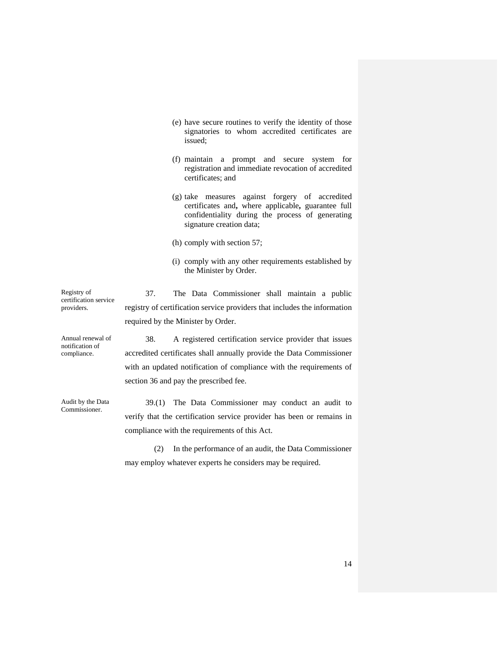- (e) have secure routines to verify the identity of those signatories to whom accredited certificates are issued;
- (f) maintain a prompt and secure system for registration and immediate revocation of accredited certificates; and
- (g) take measures against forgery of accredited certificates and**,** where applicable**,** guarantee full confidentiality during the process of generating signature creation data;
- (h) comply with section 57;
- (i) comply with any other requirements established by the Minister by Order.

certification service 37. The Data Commissioner shall maintain a public registry of certification service providers that includes the information required by the Minister by Order.

Annual renewal of notification of compliance.

Registry of

providers.

38. A registered certification service provider that issues accredited certificates shall annually provide the Data Commissioner with an updated notification of compliance with the requirements of section 36 and pay the prescribed fee.

Audit by the Data

39.(1) The Data Commissioner may conduct an audit to verify that the certification service provider has been or remains in compliance with the requirements of this Act.

(2) In the performance of an audit, the Data Commissioner may employ whatever experts he considers may be required.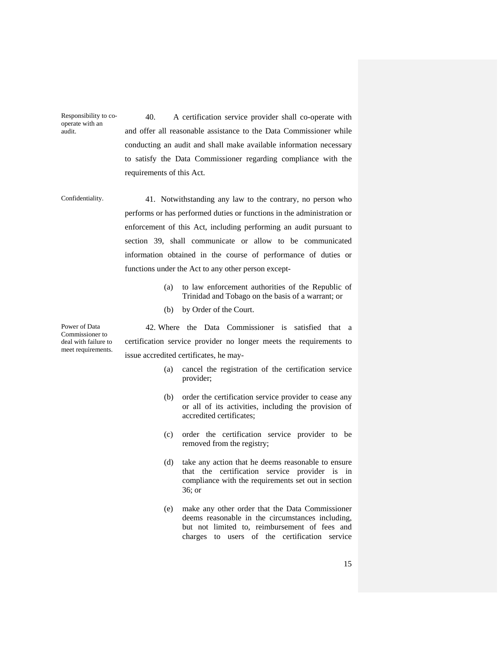Responsibility to cooperate with an 40. A certification service provider shall co-operate with and offer all reasonable assistance to the Data Commissioner while conducting an audit and shall make available information necessary to satisfy the Data Commissioner regarding compliance with the requirements of this Act.

Confidentiality. 41. Notwithstanding any law to the contrary, no person who performs or has performed duties or functions in the administration or enforcement of this Act, including performing an audit pursuant to section 39, shall communicate or allow to be communicated information obtained in the course of performance of duties or functions under the Act to any other person except-

- (a) to law enforcement authorities of the Republic of Trinidad and Tobago on the basis of a warrant; or
- (b) by Order of the Court.

42. Where the Data Commissioner is satisfied that a certification service provider no longer meets the requirements to issue accredited certificates, he may-

- (a) cancel the registration of the certification service provider;
- (b) order the certification service provider to cease any or all of its activities, including the provision of accredited certificates;
- (c) order the certification service provider to be removed from the registry;
- (d) take any action that he deems reasonable to ensure that the certification service provider is in compliance with the requirements set out in section 36; or
- (e) make any other order that the Data Commissioner deems reasonable in the circumstances including, but not limited to, reimbursement of fees and charges to users of the certification service

Power of Data Commissioner to deal with failure to meet requirements.

audit.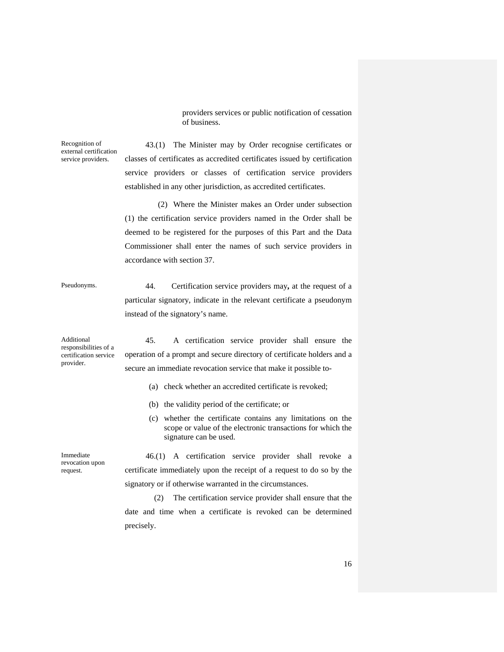providers services or public notification of cessation of business.

Recognition of external certification service providers.

43.(1) The Minister may by Order recognise certificates or classes of certificates as accredited certificates issued by certification service providers or classes of certification service providers established in any other jurisdiction, as accredited certificates.

(2) Where the Minister makes an Order under subsection (1) the certification service providers named in the Order shall be deemed to be registered for the purposes of this Part and the Data Commissioner shall enter the names of such service providers in accordance with section 37.

Pseudonyms. 44. Certification service providers may**,** at the request of a particular signatory, indicate in the relevant certificate a pseudonym instead of the signatory's name.

Additional responsibilities of a certification service provider.

45. A certification service provider shall ensure the operation of a prompt and secure directory of certificate holders and a secure an immediate revocation service that make it possible to-

- (a) check whether an accredited certificate is revoked;
- (b) the validity period of the certificate; or
- (c) whether the certificate contains any limitations on the scope or value of the electronic transactions for which the signature can be used.

Immediate revocation upon request.

46.(1) A certification service provider shall revoke a certificate immediately upon the receipt of a request to do so by the signatory or if otherwise warranted in the circumstances.

(2) The certification service provider shall ensure that the date and time when a certificate is revoked can be determined precisely.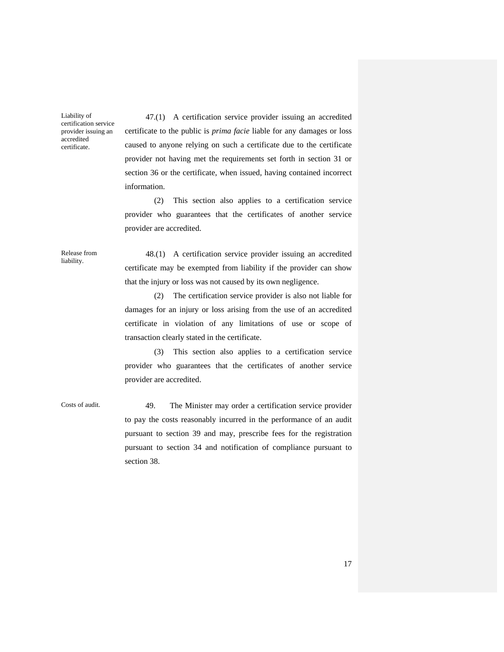Liability of certification service provider issuing an accredited certificate.

47.(1) A certification service provider issuing an accredited certificate to the public is *prima facie* liable for any damages or loss caused to anyone relying on such a certificate due to the certificate provider not having met the requirements set forth in section 31 or section 36 or the certificate, when issued, having contained incorrect information.

(2) This section also applies to a certification service provider who guarantees that the certificates of another service provider are accredited.

Release from liability.

48.(1) A certification service provider issuing an accredited certificate may be exempted from liability if the provider can show that the injury or loss was not caused by its own negligence.

(2) The certification service provider is also not liable for damages for an injury or loss arising from the use of an accredited certificate in violation of any limitations of use or scope of transaction clearly stated in the certificate.

(3) This section also applies to a certification service provider who guarantees that the certificates of another service provider are accredited.

Costs of audit. 49. The Minister may order a certification service provider to pay the costs reasonably incurred in the performance of an audit pursuant to section 39 and may, prescribe fees for the registration pursuant to section 34 and notification of compliance pursuant to section 38.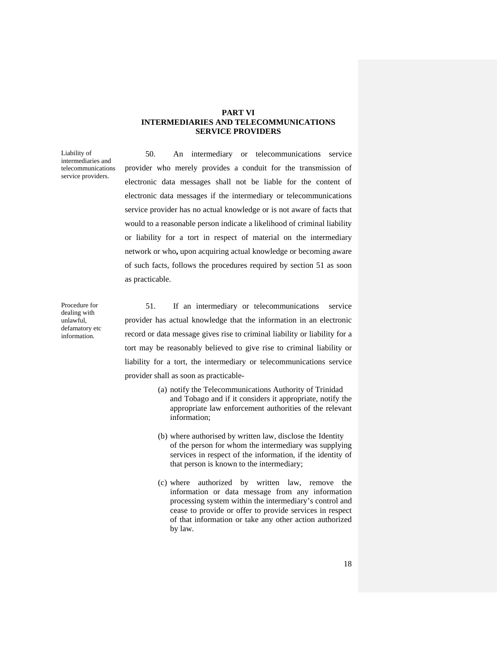#### **PART VI INTERMEDIARIES AND TELECOMMUNICATIONS SERVICE PROVIDERS**

Liability of intermediaries and telecommunications service providers.

50. An intermediary or telecommunications service provider who merely provides a conduit for the transmission of electronic data messages shall not be liable for the content of electronic data messages if the intermediary or telecommunications service provider has no actual knowledge or is not aware of facts that would to a reasonable person indicate a likelihood of criminal liability or liability for a tort in respect of material on the intermediary network or who**,** upon acquiring actual knowledge or becoming aware of such facts, follows the procedures required by section 51 as soon as practicable.

Procedure for dealing with unlawful, defamatory etc information.

51. If an intermediary or telecommunications service provider has actual knowledge that the information in an electronic record or data message gives rise to criminal liability or liability for a tort may be reasonably believed to give rise to criminal liability or liability for a tort, the intermediary or telecommunications service provider shall as soon as practicable-

- (a) notify the Telecommunications Authority of Trinidad and Tobago and if it considers it appropriate, notify the appropriate law enforcement authorities of the relevant information;
- (b) where authorised by written law, disclose the Identity of the person for whom the intermediary was supplying services in respect of the information, if the identity of that person is known to the intermediary;
- (c) where authorized by written law, remove the information or data message from any information processing system within the intermediary's control and cease to provide or offer to provide services in respect of that information or take any other action authorized by law.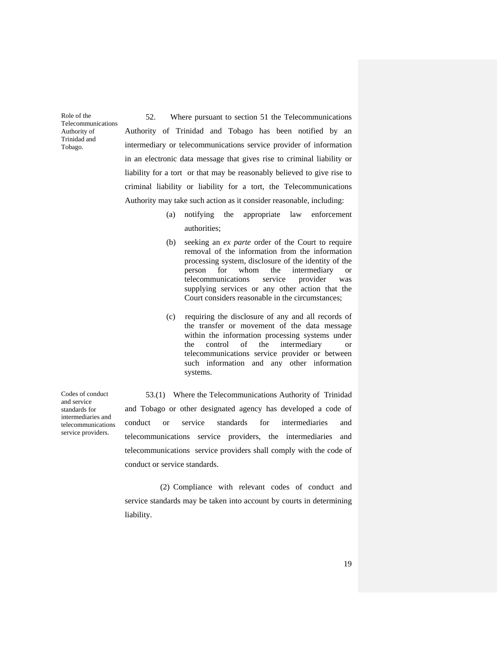Role of the Telecommunications Authority of Trinidad and Tobago.

52. Where pursuant to section 51 the Telecommunications Authority of Trinidad and Tobago has been notified by an intermediary or telecommunications service provider of information in an electronic data message that gives rise to criminal liability or liability for a tort or that may be reasonably believed to give rise to criminal liability or liability for a tort, the Telecommunications Authority may take such action as it consider reasonable, including:

- (a) notifying the appropriate law enforcement authorities;
- (b) seeking an *ex parte* order of the Court to require removal of the information from the information processing system, disclosure of the identity of the person for whom the intermediary or telecommunications service provider was supplying services or any other action that the Court considers reasonable in the circumstances;
- (c) requiring the disclosure of any and all records of the transfer or movement of the data message within the information processing systems under the control of the intermediary or telecommunications service provider or between such information and any other information systems.

53.(1) Where the Telecommunications Authority of Trinidad and Tobago or other designated agency has developed a code of conduct or service standards for intermediaries and telecommunications service providers, the intermediaries and telecommunications service providers shall comply with the code of conduct or service standards.

Codes of conduct and service standards for intermediaries and telecommunications service providers.

> (2) Compliance with relevant codes of conduct and service standards may be taken into account by courts in determining liability.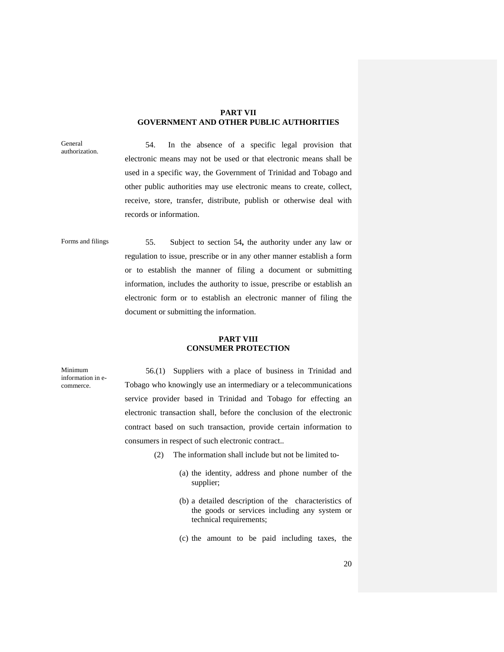#### **PART VII GOVERNMENT AND OTHER PUBLIC AUTHORITIES**

54. In the absence of a specific legal provision that electronic means may not be used or that electronic means shall be used in a specific way, the Government of Trinidad and Tobago and other public authorities may use electronic means to create, collect, receive, store, transfer, distribute, publish or otherwise deal with

records or information.

General authorization.

Forms and filings 55. Subject to section 54**,** the authority under any law or regulation to issue, prescribe or in any other manner establish a form or to establish the manner of filing a document or submitting information, includes the authority to issue, prescribe or establish an electronic form or to establish an electronic manner of filing the document or submitting the information.

### **PART VIII CONSUMER PROTECTION**

Minimum information in ecommerce.

56.(1) Suppliers with a place of business in Trinidad and Tobago who knowingly use an intermediary or a telecommunications service provider based in Trinidad and Tobago for effecting an electronic transaction shall, before the conclusion of the electronic contract based on such transaction, provide certain information to consumers in respect of such electronic contract..

- (2) The information shall include but not be limited to-
	- (a) the identity, address and phone number of the supplier;
	- (b) a detailed description of the characteristics of the goods or services including any system or technical requirements;
	- (c) the amount to be paid including taxes, the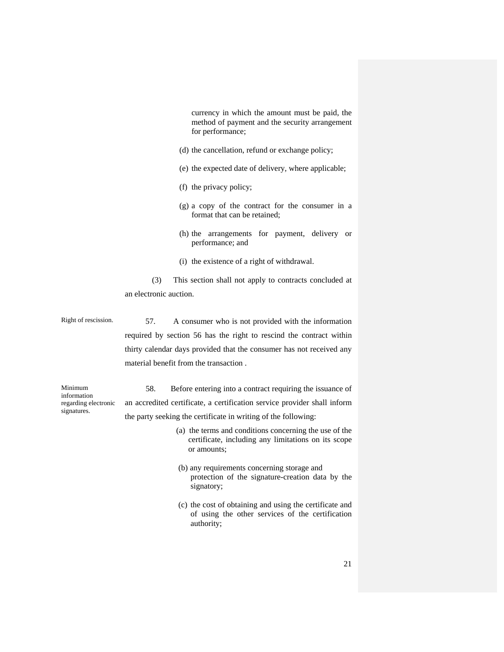currency in which the amount must be paid, the method of payment and the security arrangement for performance;

- (d) the cancellation, refund or exchange policy;
- (e) the expected date of delivery, where applicable;
- (f) the privacy policy;
- (g) a copy of the contract for the consumer in a format that can be retained;
- (h) the arrangements for payment, delivery or performance; and
- (i) the existence of a right of withdrawal.

(3) This section shall not apply to contracts concluded at an electronic auction.

Right of rescission. 57. A consumer who is not provided with the information required by section 56 has the right to rescind the contract within thirty calendar days provided that the consumer has not received any material benefit from the transaction .

Minimum information regarding electronic signatures.

58. Before entering into a contract requiring the issuance of an accredited certificate, a certification service provider shall inform the party seeking the certificate in writing of the following:

- (a) the terms and conditions concerning the use of the certificate, including any limitations on its scope or amounts;
- (b) any requirements concerning storage and protection of the signature-creation data by the signatory;
- (c) the cost of obtaining and using the certificate and of using the other services of the certification authority;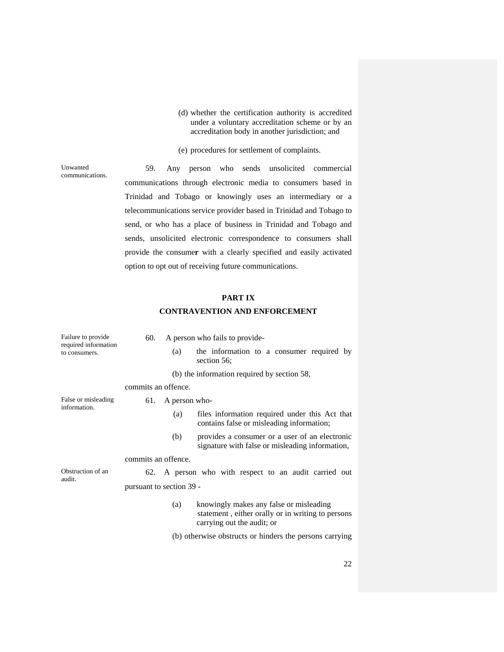- (d) whether the certification authority is accredited under a voluntary accreditation scheme or by an accreditation body in another jurisdiction; and
- (e) procedures for settlement of complaints.

communications. 59. Any person who sends unsolicited commercial communications through electronic media to consumers based in Trinidad and Tobago or knowingly uses an intermediary or a telecommunications service provider based in Trinidad and Tobago to send, or who has a place of business in Trinidad and Tobago and sends, unsolicited electronic correspondence to consumers shall provide the consume**r** with a clearly specified and easily activated option to opt out of receiving future communications.

Unwanted

#### **PART IX**

#### **CONTRAVENTION AND ENFORCEMENT**

| Failure to provide<br>required information<br>to consumers. | 60.                      |               | A person who fails to provide-                                                                                             |  |  |  |  |  |
|-------------------------------------------------------------|--------------------------|---------------|----------------------------------------------------------------------------------------------------------------------------|--|--|--|--|--|
|                                                             |                          | (a)           | the information to a consumer required by<br>section 56;                                                                   |  |  |  |  |  |
|                                                             |                          |               | (b) the information required by section 58,                                                                                |  |  |  |  |  |
|                                                             | commits an offence.      |               |                                                                                                                            |  |  |  |  |  |
| False or misleading<br>information.                         | 61.                      | A person who- |                                                                                                                            |  |  |  |  |  |
|                                                             |                          | (a)           | files information required under this Act that<br>contains false or misleading information;                                |  |  |  |  |  |
|                                                             |                          | (b)           | provides a consumer or a user of an electronic<br>signature with false or misleading information,                          |  |  |  |  |  |
|                                                             | commits an offence.      |               |                                                                                                                            |  |  |  |  |  |
| Obstruction of an                                           | 62.                      |               | A person who with respect to an audit carried out                                                                          |  |  |  |  |  |
| audit.                                                      | pursuant to section 39 - |               |                                                                                                                            |  |  |  |  |  |
|                                                             |                          | (a)           | knowingly makes any false or misleading<br>statement, either orally or in writing to persons<br>carrying out the audit; or |  |  |  |  |  |
|                                                             |                          |               | (b) otherwise obstructs or hinders the persons carrying                                                                    |  |  |  |  |  |
|                                                             |                          |               |                                                                                                                            |  |  |  |  |  |
|                                                             |                          |               |                                                                                                                            |  |  |  |  |  |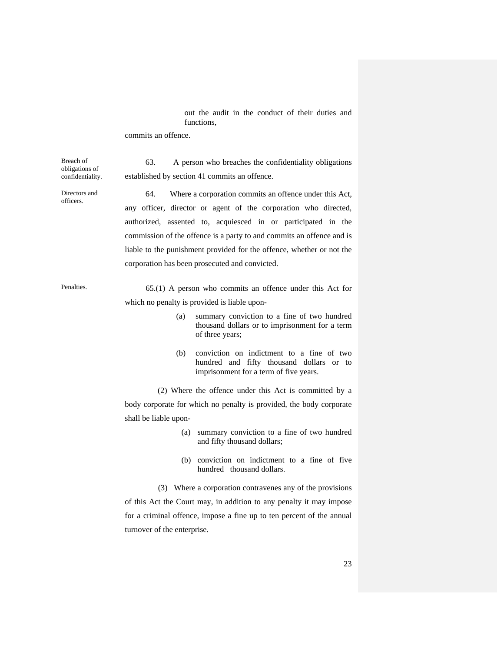out the audit in the conduct of their duties and functions,

commits an offence.

Breach of obligations of confidentiality.

63. A person who breaches the confidentiality obligations established by section 41 commits an offence.

Directors and officers. 64. Where a corporation commits an offence under this Act, any officer, director or agent of the corporation who directed, authorized, assented to, acquiesced in or participated in the commission of the offence is a party to and commits an offence and is liable to the punishment provided for the offence, whether or not the corporation has been prosecuted and convicted. Penalties. 65.(1) A person who commits an offence under this Act for which no penalty is provided is liable upon- (a) summary conviction to a fine of two hundred thousand dollars or to imprisonment for a term of three years; (b) conviction on indictment to a fine of two hundred and fifty thousand dollars or to imprisonment for a term of five years. (2) Where the offence under this Act is committed by a body corporate for which no penalty is provided, the body corporate shall be liable upon- (a) summary conviction to a fine of two hundred and fifty thousand dollars; (b) conviction on indictment to a fine of five hundred thousand dollars. (3) Where a corporation contravenes any of the provisions of this Act the Court may, in addition to any penalty it may impose for a criminal offence, impose a fine up to ten percent of the annual turnover of the enterprise.

23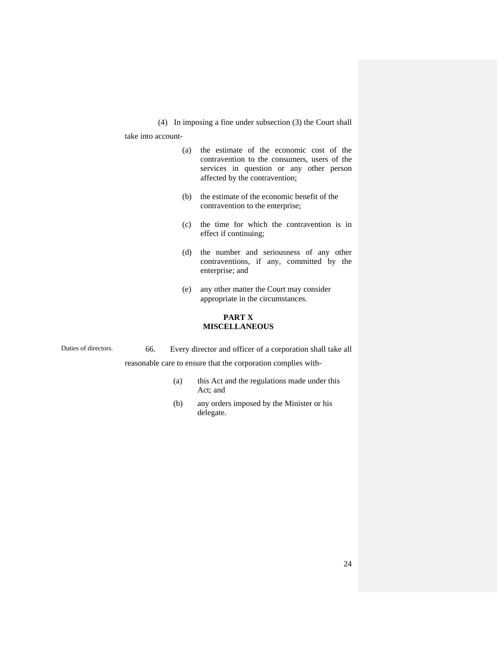(4) In imposing a fine under subsection (3) the Court shall

take into account-

- (a) the estimate of the economic cost of the contravention to the consumers, users of the services in question or any other person affected by the contravention;
- (b) the estimate of the economic benefit of the contravention to the enterprise;
- (c) the time for which the contravention is in effect if continuing;
- (d) the number and seriousness of any other contraventions, if any, committed by the enterprise; and
- (e) any other matter the Court may consider appropriate in the circumstances.

### **PART X MISCELLANEOUS**

Duties of directors. 66. Every director and officer of a corporation shall take all reasonable care to ensure that the corporation complies with-

- (a) this Act and the regulations made under this Act; and
- (b) any orders imposed by the Minister or his delegate.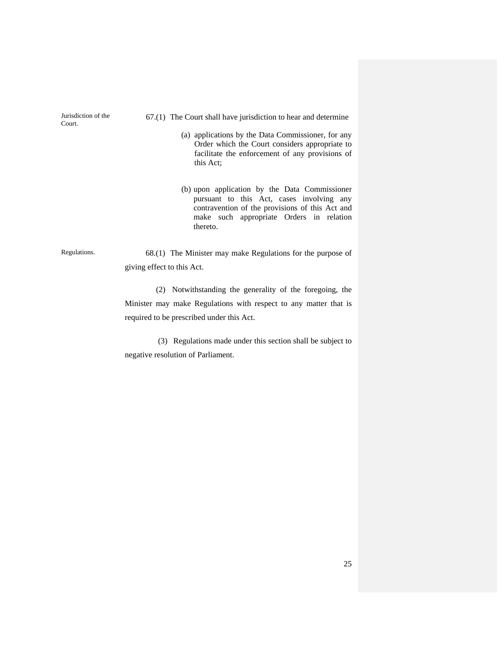Jurisdiction of the Court.

67.(1) The Court shall have jurisdiction to hear and determine

- (a) applications by the Data Commissioner, for any Order which the Court considers appropriate to facilitate the enforcement of any provisions of this Act;
- (b) upon application by the Data Commissioner pursuant to this Act, cases involving any contravention of the provisions of this Act and make such appropriate Orders in relation thereto.

Regulations. 68.(1) The Minister may make Regulations for the purpose of giving effect to this Act.

> (2) Notwithstanding the generality of the foregoing, the Minister may make Regulations with respect to any matter that is required to be prescribed under this Act.

> (3) Regulations made under this section shall be subject to negative resolution of Parliament.